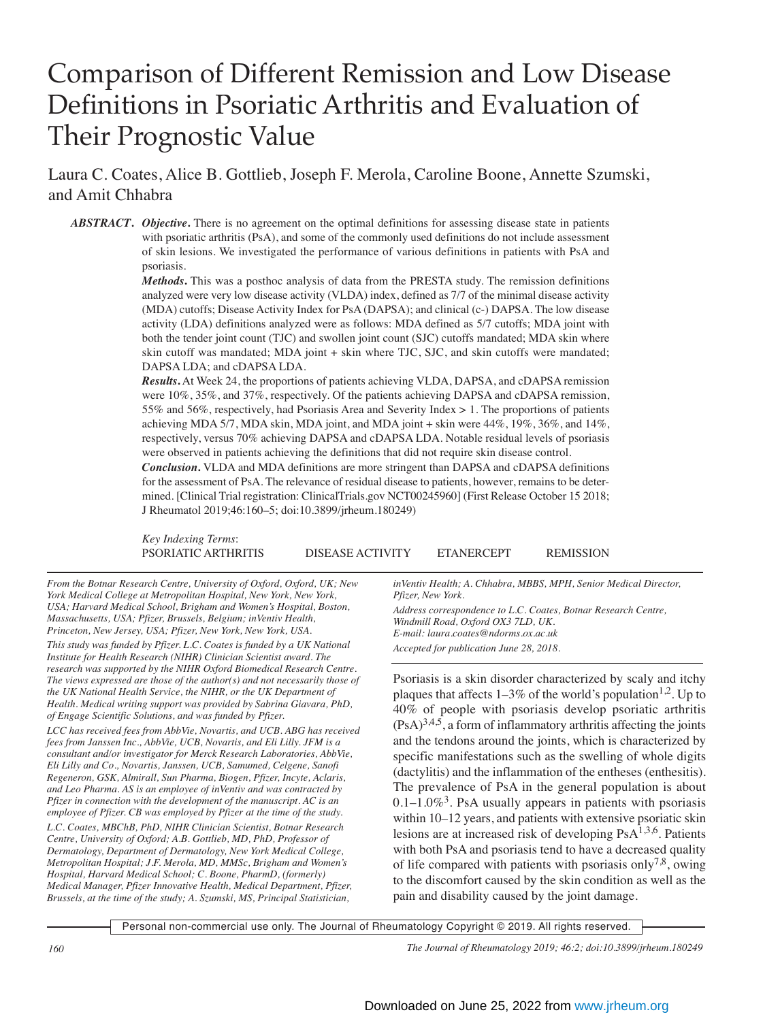# Comparison of Different Remission and Low Disease Definitions in Psoriatic Arthritis and Evaluation of Their Prognostic Value

Laura C. Coates, Alice B. Gottlieb, Joseph F. Merola, Caroline Boone, Annette Szumski, and Amit Chhabra

*ABSTRACT***.** *Objective***.** There is no agreement on the optimal definitions for assessing disease state in patients with psoriatic arthritis (PsA), and some of the commonly used definitions do not include assessment of skin lesions. We investigated the performance of various definitions in patients with PsA and psoriasis.

> *Methods***.** This was a posthoc analysis of data from the PRESTA study. The remission definitions analyzed were very low disease activity (VLDA) index, defined as 7/7 of the minimal disease activity (MDA) cutoffs; Disease Activity Index for PsA (DAPSA); and clinical (c-) DAPSA. The low disease activity (LDA) definitions analyzed were as follows: MDA defined as 5/7 cutoffs; MDA joint with both the tender joint count (TJC) and swollen joint count (SJC) cutoffs mandated; MDA skin where skin cutoff was mandated; MDA joint + skin where TJC, SJC, and skin cutoffs were mandated; DAPSA LDA; and cDAPSA LDA.

> *Results***.** At Week 24, the proportions of patients achieving VLDA, DAPSA, and cDAPSA remission were 10%, 35%, and 37%, respectively. Of the patients achieving DAPSA and cDAPSA remission, 55% and 56%, respectively, had Psoriasis Area and Severity Index > 1. The proportions of patients achieving MDA 5/7, MDA skin, MDA joint, and MDA joint + skin were 44%, 19%, 36%, and 14%, respectively, versus 70% achieving DAPSA and cDAPSA LDA. Notable residual levels of psoriasis were observed in patients achieving the definitions that did not require skin disease control.

> *Conclusion***.** VLDA and MDA definitions are more stringent than DAPSA and cDAPSA definitions for the assessment of PsA. The relevance of residual disease to patients, however, remains to be determined. [Clinical Trial registration: ClinicalTrials.gov NCT00245960] (First Release October 15 2018; J Rheumatol 2019;46:160–5; doi:10.3899/jrheum.180249)

> *Key Indexing Terms*: PSORIATIC ARTHRITIS DISEASE ACTIVITY ETANERCEPT REMISSION

*From the Botnar Research Centre, University of Oxford, Oxford, UK; New York Medical College at Metropolitan Hospital, New York, New York, USA; Harvard Medical School, Brigham and Women's Hospital, Boston, Massachusetts, USA; Pfizer, Brussels, Belgium; inVentiv Health, Princeton, New Jersey, USA; Pfizer, New York, New York, USA. This study was funded by Pfizer. L.C. Coates is funded by a UK National Institute for Health Research (NIHR) Clinician Scientist award. The research was supported by the NIHR Oxford Biomedical Research Centre. The views expressed are those of the author(s) and not necessarily those of the UK National Health Service, the NIHR, or the UK Department of Health. Medical writing support was provided by Sabrina Giavara, PhD, of Engage Scientific Solutions, and was funded by Pfizer.*

*LCC has received fees from AbbVie, Novartis, and UCB. ABG has received fees from Janssen Inc., AbbVie, UCB, Novartis, and Eli Lilly. JFM is a consultant and/or investigator for Merck Research Laboratories, AbbVie, Eli Lilly and Co., Novartis, Janssen, UCB, Samumed, Celgene, Sanofi Regeneron, GSK, Almirall, Sun Pharma, Biogen, Pfizer, Incyte, Aclaris, and Leo Pharma. AS is an employee of inVentiv and was contracted by Pfizer in connection with the development of the manuscript. AC is an employee of Pfizer. CB was employed by Pfizer at the time of the study.*

*L.C. Coates, MBChB, PhD, NIHR Clinician Scientist, Botnar Research Centre, University of Oxford; A.B. Gottlieb, MD, PhD, Professor of Dermatology, Department of Dermatology, New York Medical College, Metropolitan Hospital; J.F. Merola, MD, MMSc, Brigham and Women's Hospital, Harvard Medical School; C. Boone, PharmD, (formerly) Medical Manager, Pfizer Innovative Health, Medical Department, Pfizer, Brussels, at the time of the study; A. Szumski, MS, Principal Statistician,*

*inVentiv Health; A. Chhabra, MBBS, MPH, Senior Medical Director, Pfizer, New York.*

*Address correspondence to L.C. Coates, Botnar Research Centre, Windmill Road, Oxford OX3 7LD, UK. E-mail: laura.coates@ndorms.ox.ac.uk Accepted for publication June 28, 2018.*

Psoriasis is a skin disorder characterized by scaly and itchy plaques that affects  $1-3\%$  of the world's population<sup>1,2</sup>. Up to 40% of people with psoriasis develop psoriatic arthritis  $(PsA)^{3,4,5}$ , a form of inflammatory arthritis affecting the joints and the tendons around the joints, which is characterized by specific manifestations such as the swelling of whole digits (dactylitis) and the inflammation of the entheses (enthesitis). The prevalence of PsA in the general population is about  $0.1-1.0\%$ <sup>3</sup>. PsA usually appears in patients with psoriasis within 10–12 years, and patients with extensive psoriatic skin lesions are at increased risk of developing  $PsA^{1,3,6}$ . Patients with both PsA and psoriasis tend to have a decreased quality of life compared with patients with psoriasis only<sup>7,8</sup>, owing to the discomfort caused by the skin condition as well as the pain and disability caused by the joint damage.

Personal non-commercial use only. The Journal of Rheumatology Copyright © 2019. All rights reserved.

*160 The Journal of Rheumatology 2019; 46:2; doi:10.3899/jrheum.180249*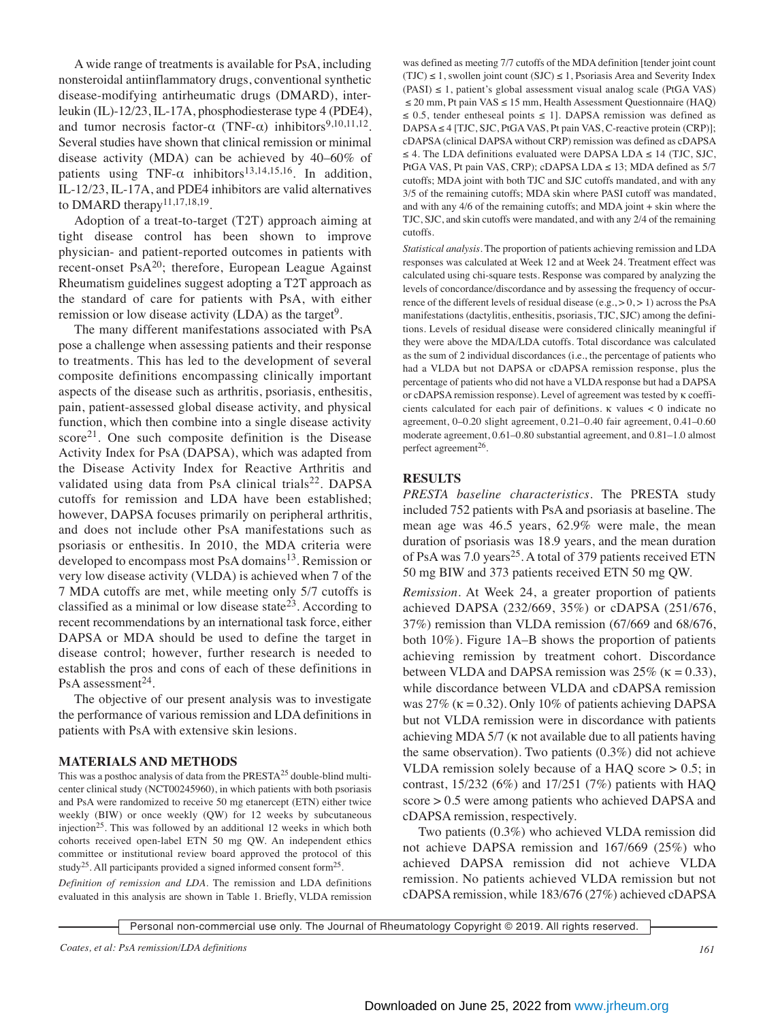A wide range of treatments is available for PsA, including nonsteroidal antiinflammatory drugs, conventional synthetic disease-modifying antirheumatic drugs (DMARD), interleukin (IL)-12/23, IL-17A, phosphodiesterase type 4 (PDE4), and tumor necrosis factor- $\alpha$  (TNF- $\alpha$ ) inhibitors<sup>9,10,11,12</sup>. Several studies have shown that clinical remission or minimal disease activity (MDA) can be achieved by 40–60% of patients using TNF- $\alpha$  inhibitors<sup>13,14,15,16</sup>. In addition, IL-12/23, IL-17A, and PDE4 inhibitors are valid alternatives to DMARD therapy<sup>11,17,18,19</sup>.

 Adoption of a treat-to-target (T2T) approach aiming at tight disease control has been shown to improve physician- and patient-reported outcomes in patients with recent-onset Ps $A^{20}$ ; therefore, European League Against Rheumatism guidelines suggest adopting a T2T approach as the standard of care for patients with PsA, with either remission or low disease activity  $(LDA)$  as the target<sup>9</sup>.

 The many different manifestations associated with PsA pose a challenge when assessing patients and their response to treatments. This has led to the development of several composite definitions encompassing clinically important aspects of the disease such as arthritis, psoriasis, enthesitis, pain, patient-assessed global disease activity, and physical function, which then combine into a single disease activity  $score<sup>21</sup>$ . One such composite definition is the Disease Activity Index for PsA (DAPSA), which was adapted from the Disease Activity Index for Reactive Arthritis and validated using data from PsA clinical trials<sup>22</sup>. DAPSA cutoffs for remission and LDA have been established; however, DAPSA focuses primarily on peripheral arthritis, and does not include other PsA manifestations such as psoriasis or enthesitis. In 2010, the MDA criteria were developed to encompass most PsA domains<sup>13</sup>. Remission or very low disease activity (VLDA) is achieved when 7 of the 7 MDA cutoffs are met, while meeting only 5/7 cutoffs is classified as a minimal or low disease state<sup>23</sup>. According to recent recommendations by an international task force, either DAPSA or MDA should be used to define the target in disease control; however, further research is needed to establish the pros and cons of each of these definitions in PsA assessment<sup>24</sup>.

 The objective of our present analysis was to investigate the performance of various remission and LDA definitions in patients with PsA with extensive skin lesions.

#### **MATERIALS AND METHODS**

This was a posthoc analysis of data from the PRESTA<sup>25</sup> double-blind multicenter clinical study (NCT00245960), in which patients with both psoriasis and PsA were randomized to receive 50 mg etanercept (ETN) either twice weekly (BIW) or once weekly (QW) for 12 weeks by subcutaneous injection<sup>25</sup>. This was followed by an additional 12 weeks in which both cohorts received open-label ETN 50 mg QW. An independent ethics committee or institutional review board approved the protocol of this study<sup>25</sup>. All participants provided a signed informed consent form<sup>25</sup>.

*Definition of remission and LDA*. The remission and LDA definitions evaluated in this analysis are shown in Table 1. Briefly, VLDA remission was defined as meeting 7/7 cutoffs of the MDA definition [tender joint count (TJC)  $\leq$  1, swollen joint count (SJC)  $\leq$  1, Psoriasis Area and Severity Index  $(PASI) \leq 1$ , patient's global assessment visual analog scale (PtGA VAS) ≤ 20 mm, Pt pain VAS ≤ 15 mm, Health Assessment Questionnaire (HAQ)  $\leq$  0.5, tender entheseal points  $\leq$  1]. DAPSA remission was defined as DAPSA ≤ 4 [TJC, SJC, PtGA VAS, Pt pain VAS, C-reactive protein (CRP)]; cDAPSA (clinical DAPSA without CRP) remission was defined as cDAPSA  $\leq$  4. The LDA definitions evaluated were DAPSA LDA  $\leq$  14 (TJC, SJC, PtGA VAS, Pt pain VAS, CRP); cDAPSA LDA ≤ 13; MDA defined as 5/7 cutoffs; MDA joint with both TJC and SJC cutoffs mandated, and with any 3/5 of the remaining cutoffs; MDA skin where PASI cutoff was mandated, and with any 4/6 of the remaining cutoffs; and MDA joint + skin where the TJC, SJC, and skin cutoffs were mandated, and with any 2/4 of the remaining cutoffs.

*Statistical analysis*. The proportion of patients achieving remission and LDA responses was calculated at Week 12 and at Week 24. Treatment effect was calculated using chi-square tests. Response was compared by analyzing the levels of concordance/discordance and by assessing the frequency of occurrence of the different levels of residual disease  $(e.g., > 0, > 1)$  across the PsA manifestations (dactylitis, enthesitis, psoriasis, TJC, SJC) among the definitions. Levels of residual disease were considered clinically meaningful if they were above the MDA/LDA cutoffs. Total discordance was calculated as the sum of 2 individual discordances (i.e., the percentage of patients who had a VLDA but not DAPSA or cDAPSA remission response, plus the percentage of patients who did not have a VLDA response but had a DAPSA or cDAPSA remission response). Level of agreement was tested by k coefficients calculated for each pair of definitions.  $\kappa$  values  $\lt 0$  indicate no agreement, 0–0.20 slight agreement, 0.21–0.40 fair agreement, 0.41–0.60 moderate agreement, 0.61–0.80 substantial agreement, and 0.81–1.0 almost perfect agreement<sup>26</sup>.

### **RESULTS**

*PRESTA baseline characteristics*. The PRESTA study included 752 patients with PsA and psoriasis at baseline. The mean age was 46.5 years, 62.9% were male, the mean duration of psoriasis was 18.9 years, and the mean duration of PsA was 7.0 years<sup>25</sup>. A total of 379 patients received ETN 50 mg BIW and 373 patients received ETN 50 mg QW.

*Remission*. At Week 24, a greater proportion of patients achieved DAPSA (232/669, 35%) or cDAPSA (251/676, 37%) remission than VLDA remission (67/669 and 68/676, both 10%). Figure 1A–B shows the proportion of patients achieving remission by treatment cohort. Discordance between VLDA and DAPSA remission was  $25\%$  ( $\kappa = 0.33$ ), while discordance between VLDA and cDAPSA remission was  $27\%$  ( $\kappa = 0.32$ ). Only 10% of patients achieving DAPSA but not VLDA remission were in discordance with patients achieving MDA 5/7 (k not available due to all patients having the same observation). Two patients (0.3%) did not achieve VLDA remission solely because of a HAQ score  $> 0.5$ ; in contrast, 15/232 (6%) and 17/251 (7%) patients with HAQ score > 0.5 were among patients who achieved DAPSA and cDAPSA remission, respectively.

 Two patients (0.3%) who achieved VLDA remission did not achieve DAPSA remission and 167/669 (25%) who achieved DAPSA remission did not achieve VLDA remission. No patients achieved VLDA remission but not cDAPSA remission, while 183/676 (27%) achieved cDAPSA

Personal non-commercial use only. The Journal of Rheumatology Copyright © 2019. All rights reserved.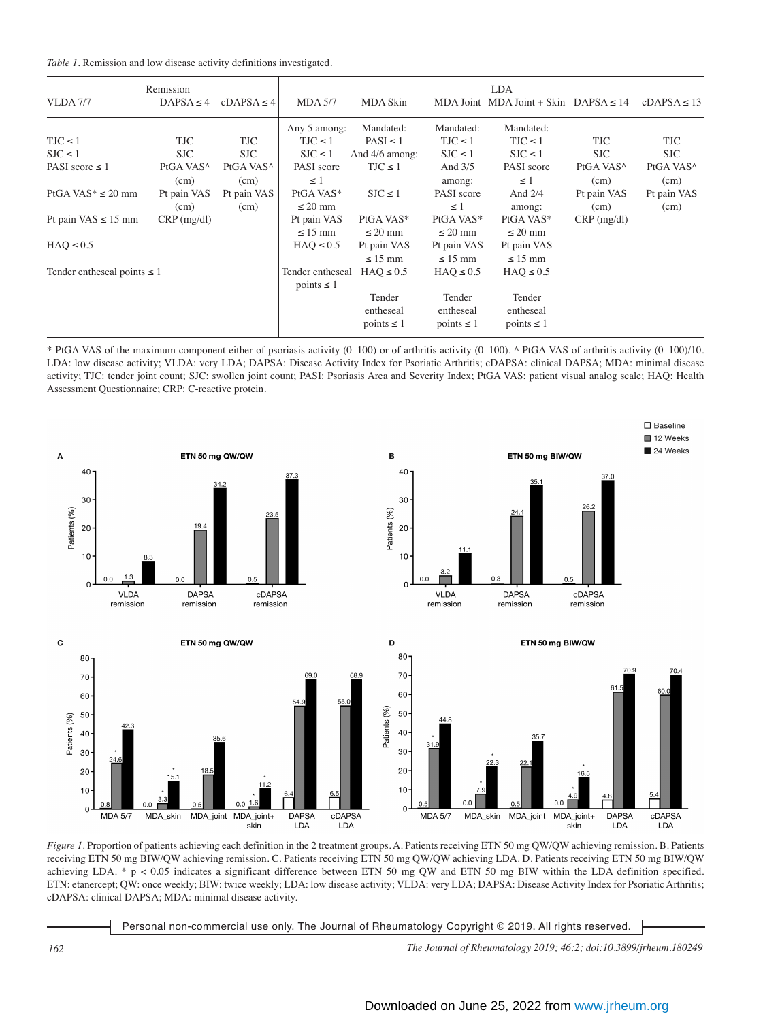|  |  |  |  |  |  | Table 1. Remission and low disease activity definitions investigated. |
|--|--|--|--|--|--|-----------------------------------------------------------------------|
|--|--|--|--|--|--|-----------------------------------------------------------------------|

|                                    | Remission             |                       |                                     |                     |                     | <b>LDA</b>                                 |                       |                       |
|------------------------------------|-----------------------|-----------------------|-------------------------------------|---------------------|---------------------|--------------------------------------------|-----------------------|-----------------------|
| <b>VLDA</b> 7/7                    | $DAPSA \leq 4$        | $cDAPSA \leq 4$       | <b>MDA 5/7</b>                      | MDA Skin            |                     | MDA Joint MDA Joint + Skin DAPSA $\leq 14$ |                       | $cDAPSA \leq 13$      |
|                                    |                       |                       | Any 5 among:                        | Mandated:           | Mandated:           | Mandated:                                  |                       |                       |
| $TJC \leq 1$                       | <b>TJC</b>            | TJC                   | $TJC \leq 1$                        | $PASI \leq 1$       | $TJC \leq 1$        | $TJC \leq 1$                               | TJC                   | TJC                   |
| $SJC \leq 1$                       | <b>SJC</b>            | <b>SJC</b>            | $SJC \leq 1$                        | And 4/6 among:      | $SJC \leq 1$        | $SJC \leq 1$                               | <b>SJC</b>            | <b>SJC</b>            |
| PASI score $\leq 1$                | PtGA VAS <sup>^</sup> | PtGA VAS <sup>^</sup> | PASI score                          | $TJC \leq 1$        | And $3/5$           | PASI score                                 | PtGA VAS <sup>^</sup> | PtGA VAS <sup>^</sup> |
|                                    | (cm)                  | (cm)                  | $\leq$ 1                            |                     | among:              | $\leq$ 1                                   | (cm)                  | (cm)                  |
| PtGA VAS <sup>*</sup> $\leq$ 20 mm | Pt pain VAS           | Pt pain VAS           | PtGA VAS*                           | $SJC \leq 1$        | PASI score          | And $2/4$                                  | Pt pain VAS           | Pt pain VAS           |
|                                    | (cm)                  | (cm)                  | $\leq$ 20 mm                        |                     | $\leq$ 1            | among:                                     | (cm)                  | (cm)                  |
| Pt pain VAS $\leq$ 15 mm           | $CRP$ (mg/dl)         |                       | Pt pain VAS                         | PtGA VAS*           | PtGA VAS*           | PtGA VAS*                                  | $CRP$ (mg/dl)         |                       |
|                                    |                       |                       | $\leq 15$ mm                        | $\leq$ 20 mm        | $\leq$ 20 mm        | $\leq$ 20 mm                               |                       |                       |
| $HAQ \leq 0.5$                     |                       |                       | $HAO \leq 0.5$                      | Pt pain VAS         | Pt pain VAS         | Pt pain VAS                                |                       |                       |
|                                    |                       |                       |                                     | $\leq 15$ mm        | $\leq 15$ mm        | $\leq 15$ mm                               |                       |                       |
| Tender entheseal points $\leq 1$   |                       |                       | Tender entheseal<br>points $\leq 1$ | $HAO \leq 0.5$      | $HAO \leq 0.5$      | $HAQ \leq 0.5$                             |                       |                       |
|                                    |                       |                       |                                     | Tender<br>entheseal | Tender<br>entheseal | Tender<br>entheseal                        |                       |                       |
|                                    |                       |                       |                                     | points $\leq 1$     | points $\leq 1$     | points $\leq 1$                            |                       |                       |







 $\square$  Baseline 12 Weeks 24 Weeks



*Figure 1*. Proportion of patients achieving each definition in the 2 treatment groups. A. Patients receiving ETN 50 mg QW/QW achieving remission. B. Patients receiving ETN 50 mg BIW/QW achieving remission. C. Patients receiving ETN 50 mg QW/QW achieving LDA. D. Patients receiving ETN 50 mg BIW/QW achieving LDA. \* p < 0.05 indicates a significant difference between ETN 50 mg QW and ETN 50 mg BIW within the LDA definition specified. ETN: etanercept; QW: once weekly; BIW: twice weekly; LDA: low disease activity; VLDA: very LDA; DAPSA: Disease Activity Index for Psoriatic Arthritis; cDAPSA: clinical DAPSA; MDA: minimal disease activity.

| Personal non-commercial use only. The Journal of Rheumatology Copyright © 2019. All rights reserved. |  |  |
|------------------------------------------------------------------------------------------------------|--|--|
|                                                                                                      |  |  |

*162 The Journal of Rheumatology 2019; 46:2; doi:10.3899/jrheum.180249*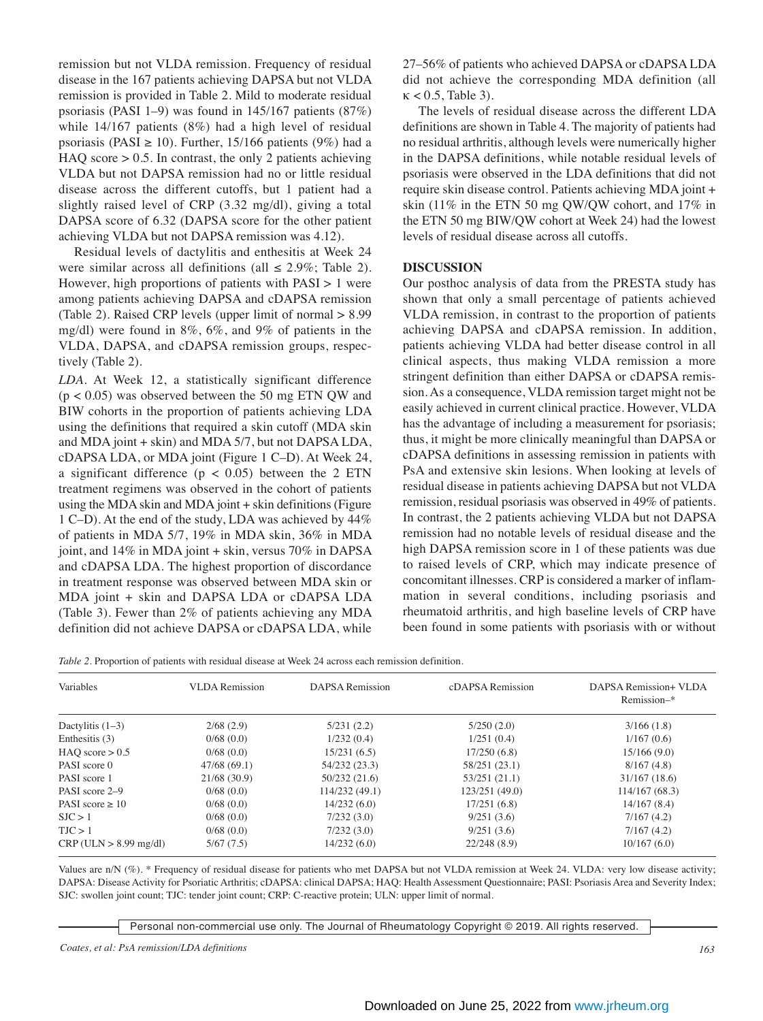remission but not VLDA remission. Frequency of residual disease in the 167 patients achieving DAPSA but not VLDA remission is provided in Table 2. Mild to moderate residual psoriasis (PASI 1–9) was found in 145/167 patients (87%) while 14/167 patients (8%) had a high level of residual psoriasis (PASI  $\geq$  10). Further, 15/166 patients (9%) had a HAQ score  $> 0.5$ . In contrast, the only 2 patients achieving VLDA but not DAPSA remission had no or little residual disease across the different cutoffs, but 1 patient had a slightly raised level of CRP (3.32 mg/dl), giving a total DAPSA score of 6.32 (DAPSA score for the other patient achieving VLDA but not DAPSA remission was 4.12).

 Residual levels of dactylitis and enthesitis at Week 24 were similar across all definitions (all  $\leq$  2.9%; Table 2). However, high proportions of patients with PASI > 1 were among patients achieving DAPSA and cDAPSA remission (Table 2). Raised CRP levels (upper limit of normal > 8.99 mg/dl) were found in 8%, 6%, and 9% of patients in the VLDA, DAPSA, and cDAPSA remission groups, respectively (Table 2).

*LDA*. At Week 12, a statistically significant difference  $(p < 0.05)$  was observed between the 50 mg ETN QW and BIW cohorts in the proportion of patients achieving LDA using the definitions that required a skin cutoff (MDA skin and MDA joint + skin) and MDA 5/7, but not DAPSA LDA, cDAPSA LDA, or MDA joint (Figure 1 C–D). At Week 24, a significant difference ( $p < 0.05$ ) between the 2 ETN treatment regimens was observed in the cohort of patients using the MDA skin and MDA joint + skin definitions (Figure 1 C–D). At the end of the study, LDA was achieved by 44% of patients in MDA 5/7, 19% in MDA skin, 36% in MDA joint, and 14% in MDA joint + skin, versus 70% in DAPSA and cDAPSA LDA. The highest proportion of discordance in treatment response was observed between MDA skin or MDA joint + skin and DAPSA LDA or cDAPSA LDA (Table 3). Fewer than 2% of patients achieving any MDA definition did not achieve DAPSA or cDAPSA LDA, while 27–56% of patients who achieved DAPSA or cDAPSA LDA did not achieve the corresponding MDA definition (all  $\kappa$  < 0.5, Table 3).

 The levels of residual disease across the different LDA definitions are shown in Table 4. The majority of patients had no residual arthritis, although levels were numerically higher in the DAPSA definitions, while notable residual levels of psoriasis were observed in the LDA definitions that did not require skin disease control. Patients achieving MDA joint + skin (11% in the ETN 50 mg QW/QW cohort, and 17% in the ETN 50 mg BIW/QW cohort at Week 24) had the lowest levels of residual disease across all cutoffs.

### **DISCUSSION**

Our posthoc analysis of data from the PRESTA study has shown that only a small percentage of patients achieved VLDA remission, in contrast to the proportion of patients achieving DAPSA and cDAPSA remission. In addition, patients achieving VLDA had better disease control in all clinical aspects, thus making VLDA remission a more stringent definition than either DAPSA or cDAPSA remission. As a consequence, VLDA remission target might not be easily achieved in current clinical practice. However, VLDA has the advantage of including a measurement for psoriasis; thus, it might be more clinically meaningful than DAPSA or cDAPSA definitions in assessing remission in patients with PsA and extensive skin lesions. When looking at levels of residual disease in patients achieving DAPSA but not VLDA remission, residual psoriasis was observed in 49% of patients. In contrast, the 2 patients achieving VLDA but not DAPSA remission had no notable levels of residual disease and the high DAPSA remission score in 1 of these patients was due to raised levels of CRP, which may indicate presence of concomitant illnesses. CRP is considered a marker of inflammation in several conditions, including psoriasis and rheumatoid arthritis, and high baseline levels of CRP have been found in some patients with psoriasis with or without

*Table 2.* Proportion of patients with residual disease at Week 24 across each remission definition.

| Variables              | <b>VLDA</b> Remission | DAPSA Remission | cDAPSA Remission | DAPSA Remission+ VLDA<br>Remission-* |
|------------------------|-----------------------|-----------------|------------------|--------------------------------------|
| Dactylitis $(1-3)$     | 2/68(2.9)             | 5/231(2.2)      | 5/250(2.0)       | 3/166(1.8)                           |
| Enthesitis (3)         | 0/68(0.0)             | 1/232(0.4)      | 1/251(0.4)       | 1/167(0.6)                           |
| $HAO$ score $> 0.5$    | 0/68(0.0)             | 15/231(6.5)     | 17/250(6.8)      | 15/166(9.0)                          |
| PASI score 0           | 47/68(69.1)           | 54/232 (23.3)   | 58/251 (23.1)    | 8/167(4.8)                           |
| PASI score 1           | 21/68(30.9)           | 50/232(21.6)    | 53/251 (21.1)    | 31/167(18.6)                         |
| PASI score 2-9         | 0/68(0.0)             | 114/232(49.1)   | 123/251 (49.0)   | 114/167(68.3)                        |
| PASI score $\geq 10$   | 0/68(0.0)             | 14/232(6.0)     | 17/251(6.8)      | 14/167(8.4)                          |
| SJC > 1                | 0/68(0.0)             | 7/232(3.0)      | 9/251(3.6)       | 7/167(4.2)                           |
| TJC > 1                | 0/68(0.0)             | 7/232(3.0)      | 9/251(3.6)       | 7/167(4.2)                           |
| CRP (ULN > 8.99 mg/dl) | 5/67(7.5)             | 14/232(6.0)     | 22/248(8.9)      | 10/167(6.0)                          |

Values are n/N (%). \* Frequency of residual disease for patients who met DAPSA but not VLDA remission at Week 24*.* VLDA: very low disease activity; DAPSA: Disease Activity for Psoriatic Arthritis; cDAPSA: clinical DAPSA; HAQ: Health Assessment Questionnaire; PASI: Psoriasis Area and Severity Index; SJC: swollen joint count; TJC: tender joint count; CRP: C-reactive protein; ULN: upper limit of normal.

Personal non-commercial use only. The Journal of Rheumatology Copyright © 2019. All rights reserved.

*Coates, et al: PsA remission/LDA definitions 163*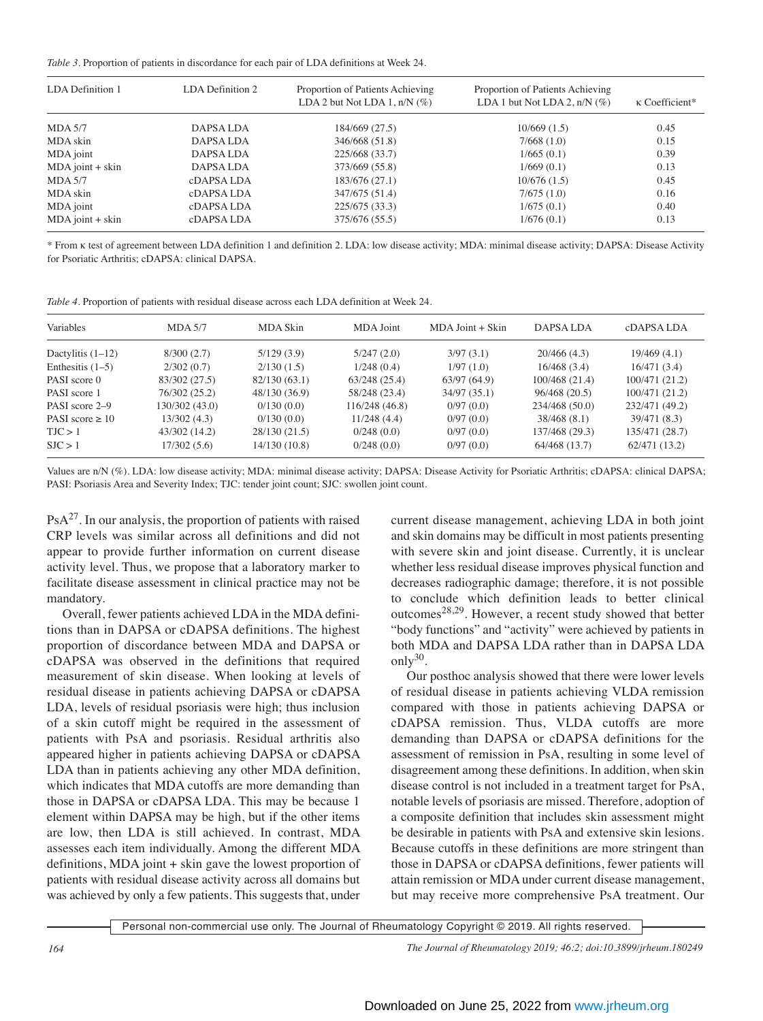*Table 3.* Proportion of patients in discordance for each pair of LDA definitions at Week 24.

| LDA Definition 1   | LDA Definition 2 | Proportion of Patients Achieving<br>LDA 2 but Not LDA 1, $n/N$ (%) | Proportion of Patients Achieving<br>LDA 1 but Not LDA 2, $n/N$ (%) | $\kappa$ Coefficient* |  |
|--------------------|------------------|--------------------------------------------------------------------|--------------------------------------------------------------------|-----------------------|--|
| $MDA$ 5/7          | DAPSA LDA        | 184/669 (27.5)                                                     | 10/669(1.5)                                                        | 0.45                  |  |
| MDA skin           | DAPSA LDA        | 346/668 (51.8)                                                     | 7/668(1.0)                                                         | 0.15                  |  |
| MDA joint          | DAPSA LDA        | 225/668 (33.7)                                                     | 1/665(0.1)                                                         | 0.39                  |  |
| $MDA$ joint + skin | DAPSA LDA        | 373/669 (55.8)                                                     | 1/669(0.1)                                                         | 0.13                  |  |
| $MDA$ 5/7          | cDAPSA LDA       | 183/676 (27.1)                                                     | 10/676(1.5)                                                        | 0.45                  |  |
| MDA skin           | cDAPSA LDA       | 347/675 (51.4)                                                     | 7/675(1.0)                                                         | 0.16                  |  |
| MDA joint          | cDAPSA LDA       | 225/675(33.3)                                                      | 1/675(0.1)                                                         | 0.40                  |  |
| $MDA$ joint + skin | cDAPSA LDA       | 375/676 (55.5)                                                     | 1/676(0.1)                                                         | 0.13                  |  |

\* From k test of agreement between LDA definition 1 and definition 2. LDA: low disease activity; MDA: minimal disease activity; DAPSA: Disease Activity for Psoriatic Arthritis; cDAPSA: clinical DAPSA.

|  | Table 4. Proportion of patients with residual disease across each LDA definition at Week 24. |
|--|----------------------------------------------------------------------------------------------|
|--|----------------------------------------------------------------------------------------------|

| Variables            | $MDA$ 5/7      | MDA Skin      | MDA Joint     | $MDA$ Joint $+$ Skin | DAPSA LDA      | cDAPSA LDA     |
|----------------------|----------------|---------------|---------------|----------------------|----------------|----------------|
| Dactylitis $(1-12)$  | 8/300(2.7)     | 5/129(3.9)    | 5/247(2.0)    | 3/97(3.1)            | 20/466(4.3)    | 19/469(4.1)    |
| Enthesitis $(1-5)$   | 2/302(0.7)     | 2/130(1.5)    | 1/248(0.4)    | 1/97(1.0)            | 16/468(3.4)    | 16/471 (3.4)   |
| PASI score 0         | 83/302 (27.5)  | 82/130(63.1)  | 63/248(25.4)  | 63/97(64.9)          | 100/468 (21.4) | 100/471 (21.2) |
| PASI score 1         | 76/302 (25.2)  | 48/130 (36.9) | 58/248 (23.4) | 34/97(35.1)          | 96/468(20.5)   | 100/471 (21.2) |
| PASI score 2–9       | 130/302 (43.0) | 0/130(0.0)    | 116/248(46.8) | 0/97(0.0)            | 234/468 (50.0) | 232/471 (49.2) |
| PASI score $\geq 10$ | 13/302(4.3)    | 0/130(0.0)    | 11/248(4.4)   | 0/97(0.0)            | 38/468 (8.1)   | 39/471 (8.3)   |
| TJC > 1              | 43/302 (14.2)  | 28/130 (21.5) | 0/248(0.0)    | 0/97(0.0)            | 137/468 (29.3) | 135/471 (28.7) |
| SJC > 1              | 17/302 (5.6)   | 14/130(10.8)  | 0/248(0.0)    | 0/97(0.0)            | 64/468 (13.7)  | 62/471(13.2)   |

Values are n/N (%). LDA: low disease activity; MDA: minimal disease activity; DAPSA: Disease Activity for Psoriatic Arthritis; cDAPSA: clinical DAPSA; PASI: Psoriasis Area and Severity Index; TJC: tender joint count; SJC: swollen joint count.

 $PsA<sup>27</sup>$ . In our analysis, the proportion of patients with raised CRP levels was similar across all definitions and did not appear to provide further information on current disease activity level. Thus, we propose that a laboratory marker to facilitate disease assessment in clinical practice may not be mandatory.

 Overall, fewer patients achieved LDA in the MDA definitions than in DAPSA or cDAPSA definitions. The highest proportion of discordance between MDA and DAPSA or cDAPSA was observed in the definitions that required measurement of skin disease. When looking at levels of residual disease in patients achieving DAPSA or cDAPSA LDA, levels of residual psoriasis were high; thus inclusion of a skin cutoff might be required in the assessment of patients with PsA and psoriasis. Residual arthritis also appeared higher in patients achieving DAPSA or cDAPSA LDA than in patients achieving any other MDA definition, which indicates that MDA cutoffs are more demanding than those in DAPSA or cDAPSA LDA. This may be because 1 element within DAPSA may be high, but if the other items are low, then LDA is still achieved. In contrast, MDA assesses each item individually. Among the different MDA definitions, MDA joint + skin gave the lowest proportion of patients with residual disease activity across all domains but was achieved by only a few patients. This suggests that, under current disease management, achieving LDA in both joint and skin domains may be difficult in most patients presenting with severe skin and joint disease. Currently, it is unclear whether less residual disease improves physical function and decreases radiographic damage; therefore, it is not possible to conclude which definition leads to better clinical outcomes28,29. However, a recent study showed that better "body functions" and "activity" were achieved by patients in both MDA and DAPSA LDA rather than in DAPSA LDA only $30$ .

 Our posthoc analysis showed that there were lower levels of residual disease in patients achieving VLDA remission compared with those in patients achieving DAPSA or cDAPSA remission. Thus, VLDA cutoffs are more demanding than DAPSA or cDAPSA definitions for the assessment of remission in PsA, resulting in some level of disagreement among these definitions. In addition, when skin disease control is not included in a treatment target for PsA, notable levels of psoriasis are missed. Therefore, adoption of a composite definition that includes skin assessment might be desirable in patients with PsA and extensive skin lesions. Because cutoffs in these definitions are more stringent than those in DAPSA or cDAPSA definitions, fewer patients will attain remission or MDA under current disease management, but may receive more comprehensive PsA treatment. Our

Personal non-commercial use only. The Journal of Rheumatology Copyright © 2019. All rights reserved.

*164 The Journal of Rheumatology 2019; 46:2; doi:10.3899/jrheum.180249*